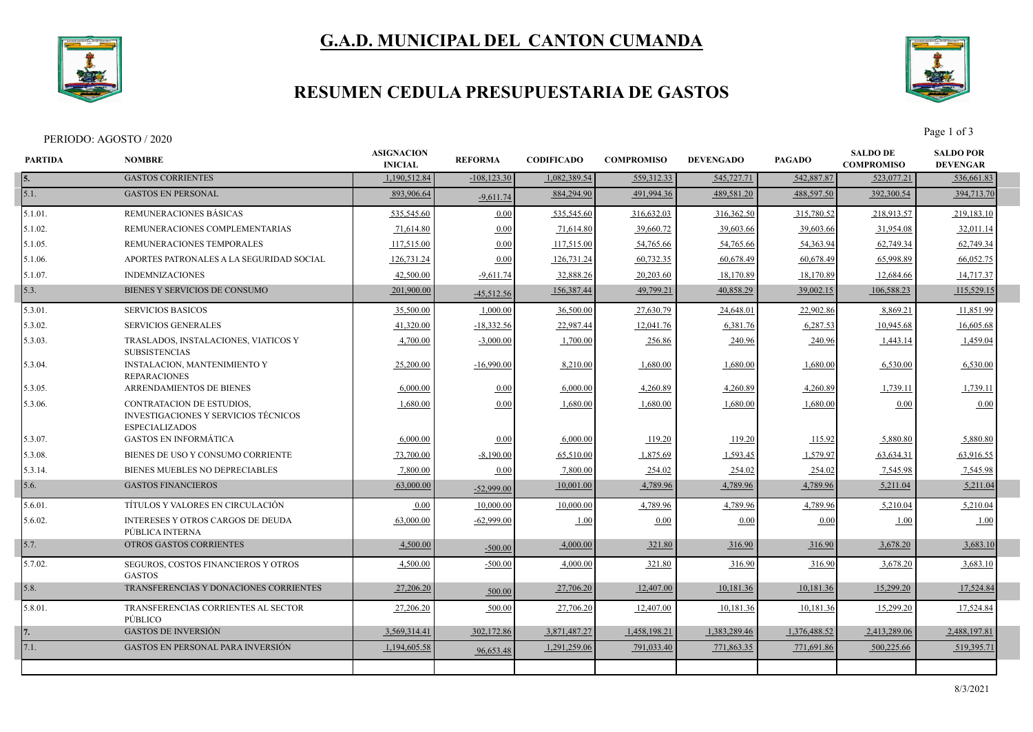

## **G.A.D. MUNICIPAL DEL CANTON CUMANDA**

### **RESUMEN CEDULA PRESUPUESTARIA DE GASTOS**



Page 1 of 3<br>Page 1 of 3

| <b>PARTIDA</b> | <b>NOMBRE</b>                                                                                            | <b>ASIGNACION</b><br><b>INICIAL</b> | <b>REFORMA</b> | <b>CODIFICADO</b> | <b>COMPROMISO</b> | <b>DEVENGADO</b> | <b>PAGADO</b> | <b>SALDO DE</b><br><b>COMPROMISO</b> | <b>SALDO POR</b><br><b>DEVENGAR</b> |  |
|----------------|----------------------------------------------------------------------------------------------------------|-------------------------------------|----------------|-------------------|-------------------|------------------|---------------|--------------------------------------|-------------------------------------|--|
| 15.            | <b>GASTOS CORRIENTES</b>                                                                                 | 1,190,512.84                        | $-108, 123.30$ | 1,082,389.54      | 559,312.33        | 545,727.71       | 542,887.87    | 523,077.21                           | 536,661.83                          |  |
| 5.1.           | <b>GASTOS EN PERSONAL</b>                                                                                | 893,906.64                          | $-9,611.74$    | 884,294.90        | 491,994.36        | 489,581.20       | 488,597.50    | 392,300.54                           | 394,713.70                          |  |
| 5.1.01.        | <b>REMUNERACIONES BASICAS</b>                                                                            | 535,545.60                          | 0.00           | 535,545.60        | 316,632.03        | 316,362.50       | 315,780.52    | 218,913.57                           | 219,183.10                          |  |
| 5.1.02.        | REMUNERACIONES COMPLEMENTARIAS                                                                           | 71,614.80                           | 0.00           | 71,614.80         | 39,660.72         | 39,603.66        | 39,603.66     | 31,954.08                            | 32,011.14                           |  |
| 5.1.05.        | REMUNERACIONES TEMPORALES                                                                                | 117,515.00                          | 0.00           | 117,515.00        | 54,765.66         | 54,765.66        | 54, 363. 94   | 62,749.34                            | 62,749.34                           |  |
| $5.1.06$ .     | APORTES PATRONALES A LA SEGURIDAD SOCIAL                                                                 | 126,731.24                          | 0.00           | 126,731.24        | 60,732.35         | 60,678.49        | 60,678.49     | 65,998.89                            | 66,052.75                           |  |
| 15.1.07.       | <b>INDEMNIZACIONES</b>                                                                                   | 42,500.00                           | $-9,611.74$    | 32,888.26         | 20,203.60         | 18,170.89        | 18,170.89     | 12,684.66                            | 14,717.37                           |  |
| 5.3.           | BIENES Y SERVICIOS DE CONSUMO                                                                            | 201,900.00                          | $-45,512.56$   | 156,387.44        | 49,799.21         | 40,858.29        | 39,002.15     | 106,588.23                           | 115,529.15                          |  |
| 5.3.01.        | <b>SERVICIOS BASICOS</b>                                                                                 | 35,500.00                           | 1,000.00       | 36,500.00         | 27,630.79         | 24,648.01        | 22,902.86     | 8,869.21                             | 11,851.99                           |  |
| 5.3.02.        | <b>SERVICIOS GENERALES</b>                                                                               | 41,320.00                           | $-18,332.56$   | 22,987.44         | 12,041.76         | 6,381.76         | 6,287.53      | 10,945.68                            | 16,605.68                           |  |
| 5.3.03.        | TRASLADOS, INSTALACIONES, VIATICOS Y<br><b>SUBSISTENCIAS</b>                                             | 4,700.00                            | $-3,000.00$    | 1,700.00          | 256.86            | 240.96           | 240.96        | 1,443.14                             | 1,459.04                            |  |
| 5.3.04.        | <b>INSTALACION, MANTENIMIENTO Y</b><br><b>REPARACIONES</b>                                               | 25,200.00                           | $-16,990.00$   | 8,210.00          | 1.680.00          | 1.680.00         | 1.680.00      | 6.530.00                             | 6,530.00                            |  |
| 5.3.05.        | ARRENDAMIENTOS DE BIENES                                                                                 | 6,000.00                            | 0.00           | 6,000.00          | 4,260.89          | 4,260.89         | 4,260.89      | 1,739.11                             | 1,739.11                            |  |
| $5.3.06$ .     | <b>CONTRATACION DE ESTUDIOS.</b><br><b>INVESTIGACIONES Y SERVICIOS TÉCNICOS</b><br><b>ESPECIALIZADOS</b> | 1,680.00                            | 0.00           | 1,680.00          | 1,680.00          | 1.680.00         | 1,680.00      | 0.00                                 | 0.00                                |  |
| 5.3.07.        | <b>GASTOS EN INFORMÁTICA</b>                                                                             | 6,000.00                            | 0.00           | 6,000.00          | 119.20            | 119.20           | 115.92        | 5,880.80                             | 5,880.80                            |  |
| 5.3.08.        | BIENES DE USO Y CONSUMO CORRIENTE                                                                        | 73,700.00                           | $-8,190.00$    | 65,510.00         | 1,875.69          | 1,593.45         | 1,579.97      | 63,634.31                            | 63,916.55                           |  |
| 5.3.14.        | <b>BIENES MUEBLES NO DEPRECIABLES</b>                                                                    | 7,800.00                            | 0.00           | 7,800.00          | 254.02            | 254.02           | 254.02        | 7,545.98                             | 7,545.98                            |  |
| 5.6.           | <b>GASTOS FINANCIEROS</b>                                                                                | 63,000.00                           | $-52,999.00$   | 10,001.00         | 4,789.96          | 4,789.96         | 4,789.96      | 5,211.04                             | 5,211.04                            |  |
| 5.6.01.        | TÍTULOS Y VALORES EN CIRCULACIÓN                                                                         | 0.00                                | 10,000.00      | 10,000.00         | 4,789.96          | 4,789.96         | 4,789.96      | 5,210.04                             | 5,210.04                            |  |
| 5.6.02.        | <b>INTERESES Y OTROS CARGOS DE DEUDA</b><br>PÚBLICA INTERNA                                              | 63,000.00                           | $-62,999.00$   | 1.00              | 0.00              | 0.00             | 0.00          | 1.00                                 | 1.00                                |  |
| 5.7.           | OTROS GASTOS CORRIENTES                                                                                  | 4,500.00                            | $-500.00$      | 4,000.00          | 321.80            | 316.90           | 316.90        | 3,678.20                             | 3,683.10                            |  |
| 5.7.02.        | SEGUROS, COSTOS FINANCIEROS Y OTROS<br><b>GASTOS</b>                                                     | 4,500.00                            | $-500.00$      | 4,000.00          | 321.80            | 316.90           | 316.90        | 3,678.20                             | 3,683.10                            |  |
| 5.8.           | TRANSFERENCIAS Y DONACIONES CORRIENTES                                                                   | 27,206.20                           | 500.00         | 27,706.20         | 12,407.00         | 10,181.36        | 10,181.36     | 15,299.20                            | 17,524.84                           |  |
| 5.8.01.        | TRANSFERENCIAS CORRIENTES AL SECTOR<br>PÚBLICO                                                           | 27,206.20                           | 500.00         | 27,706.20         | 12,407.00         | 10,181.36        | 10,181.36     | 15,299.20                            | 17,524.84                           |  |
|                | <b>GASTOS DE INVERSIÓN</b>                                                                               | 3,569,314.41                        | 302,172.86     | 3,871,487.27      | 1,458,198.21      | 1.383.289.46     | 1,376,488.52  | 2.413.289.06                         | 2,488,197.81                        |  |
| 7.1.           | <b>GASTOS EN PERSONAL PARA INVERSIÓN</b>                                                                 | 1,194,605.58                        | 96,653.48      | 1,291,259.06      | 791,033.40        | 771,863.35       | 771,691.86    | 500,225.66                           | 519,395.71                          |  |
|                |                                                                                                          |                                     |                |                   |                   |                  |               |                                      |                                     |  |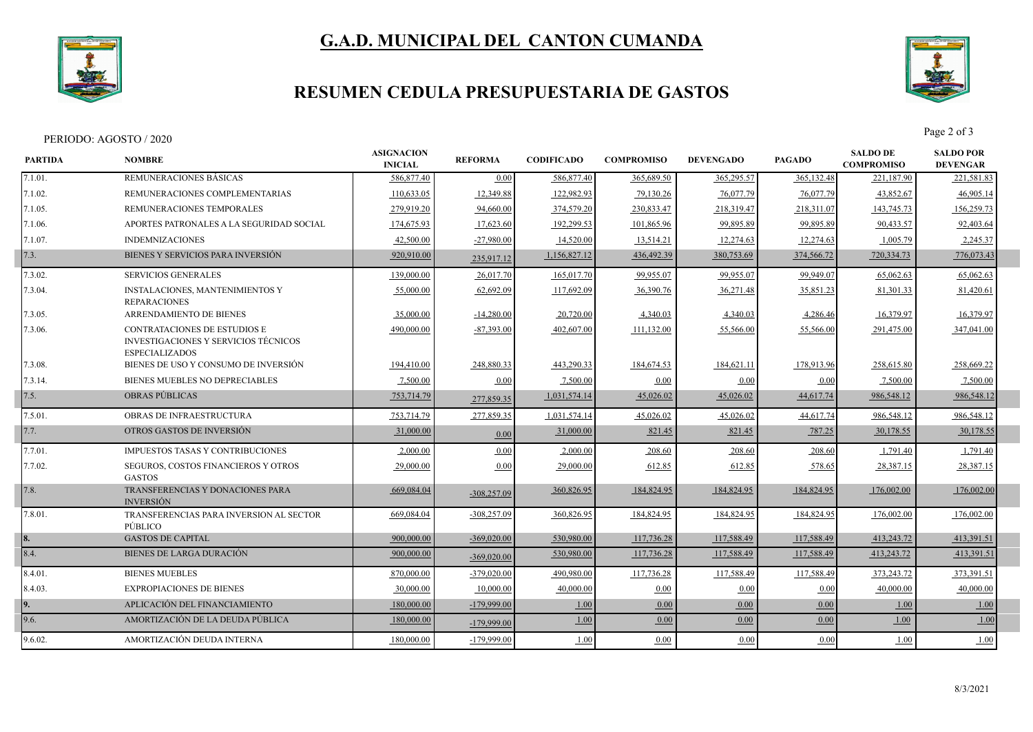

# **G.A.D. MUNICIPAL DEL CANTON CUMANDA**

### **RESUMEN CEDULA PRESUPUESTARIA DE GASTOS**



Page 2 of 3<br>Page 2 of 3

| <b>PARTIDA</b>        | <b>NOMBRE</b>                                                                                 | <b>ASIGNACION</b><br><b>INICIAL</b> | <b>REFORMA</b> | <b>CODIFICADO</b> | <b>COMPROMISO</b> | <b>DEVENGADO</b> | <b>PAGADO</b> | <b>SALDO DE</b><br><b>COMPROMISO</b> | <b>SALDO POR</b><br><b>DEVENGAR</b> |  |
|-----------------------|-----------------------------------------------------------------------------------------------|-------------------------------------|----------------|-------------------|-------------------|------------------|---------------|--------------------------------------|-------------------------------------|--|
| 7.1.01.               | REMUNERACIONES BÁSICAS                                                                        | 586,877.40                          | 0.00           | 586,877.40        | 365,689.50        | 365,295.57       | 365,132.48    | 221,187.90                           | 221,581.83                          |  |
| 7.1.02.               | REMUNERACIONES COMPLEMENTARIAS                                                                | 110,633.05                          | 12,349.88      | 122,982.93        | 79,130.26         | 76,077.79        | 76,077.79     | 43,852.67                            | 46,905.14                           |  |
| 7.1.05.               | REMUNERACIONES TEMPORALES                                                                     | 279,919.20                          | 94,660.00      | 374,579.20        | 230,833.47        | 218,319.47       | 218,311.07    | 143,745.73                           | 156,259.73                          |  |
| 7.1.06.               | APORTES PATRONALES A LA SEGURIDAD SOCIAL                                                      | 174,675.93                          | 17,623.60      | 192,299.53        | 101,865.96        | 99,895.89        | 99,895.89     | 90,433.57                            | 92,403.64                           |  |
| 7.1.07.               | <b>INDEMNIZACIONES</b>                                                                        | 42,500.00                           | $-27,980.00$   | 14,520.00         | 13,514.21         | 12,274.63        | 12,274.63     | 1,005.79                             | 2,245.37                            |  |
| 7.3.                  | BIENES Y SERVICIOS PARA INVERSIÓN                                                             | 920,910.00                          | 235,917.12     | 1,156,827.12      | 436, 492.39       | 380,753.69       | 374,566.72    | 720,334.73                           | 776,073.43                          |  |
| 7.3.02.               | <b>SERVICIOS GENERALES</b>                                                                    | 139,000.00                          | 26,017.70      | 165,017.70        | 99,955.07         | 99,955.07        | 99,949.07     | 65,062.63                            | 65,062.63                           |  |
| 7.3.04.               | <b>INSTALACIONES, MANTENIMIENTOS Y</b><br><b>REPARACIONES</b>                                 | 55,000.00                           | 62,692.09      | 117,692.09        | 36,390.76         | 36,271.48        | 35,851.23     | 81,301.33                            | 81,420.61                           |  |
| 7.3.05.               | ARRENDAMIENTO DE BIENES                                                                       | 35,000.00                           | $-14,280.00$   | 20,720.00         | 4,340.03          | 4,340.03         | 4,286.46      | 16,379.97                            | 16,379.97                           |  |
| 7.3.06.               | CONTRATACIONES DE ESTUDIOS E<br>INVESTIGACIONES Y SERVICIOS TÉCNICOS<br><b>ESPECIALIZADOS</b> | 490,000.00                          | $-87,393,00$   | 402,607.00        | 111,132.00        | 55,566.00        | 55,566.00     | 291,475.00                           | 347,041.00                          |  |
| 7.3.08.               | BIENES DE USO Y CONSUMO DE INVERSIÓN                                                          | 194,410.00                          | 248,880.33     | 443,290.33        | 184,674.53        | 184,621.11       | 178,913.96    | 258,615.80                           | 258,669.22                          |  |
| 7.3.14.               | BIENES MUEBLES NO DEPRECIABLES                                                                | 7,500.00                            | 0.00           | 7,500.00          | 0.00              | 0.00             | 0.00          | 7,500.00                             | 7,500.00                            |  |
| 7.5.                  | <b>OBRAS PUBLICAS</b>                                                                         | 753,714.79                          | 277,859.35     | 1,031,574.14      | 45,026.02         | 45,026.02        | 44,617.74     | 986,548.12                           | 986,548.12                          |  |
| 7.5.01.               | <b>OBRAS DE INFRAESTRUCTURA</b>                                                               | 753,714.79                          | 277,859.35     | 1,031,574.14      | 45,026.02         | 45,026.02        | 44,617.74     | 986,548.12                           | 986,548.12                          |  |
| 7.7.                  | OTROS GASTOS DE INVERSIÓN                                                                     | 31,000.00                           | 0.00           | 31,000.00         | 821.45            | 821.45           | 787.25        | 30,178.55                            | 30,178.55                           |  |
| 7.7.01.               | <b>IMPUESTOS TASAS Y CONTRIBUCIONES</b>                                                       | 2,000.00                            | 0.00           | 2,000.00          | 208.60            | 208.60           | 208.60        | 1,791.40                             | 1,791.40                            |  |
| 7.7.02.               | SEGUROS, COSTOS FINANCIEROS Y OTROS<br><b>GASTOS</b>                                          | 29,000.00                           | 0.00           | 29,000.00         | 612.85            | 612.85           | 578.65        | 28,387.15                            | 28,387.15                           |  |
| 7.8.                  | TRANSFERENCIAS Y DONACIONES PARA<br><b>INVERSIÓN</b>                                          | 669,084.04                          | $-308,257.09$  | 360,826.95        | 184,824.95        | 184,824.95       | 184,824.95    | 176,002.00                           | 176,002.00                          |  |
| 7.8.01.               | TRANSFERENCIAS PARA INVERSION AL SECTOR<br>PÚBLICO                                            | 669,084.04                          | $-308,257.09$  | 360,826.95        | 184,824.95        | 184,824.95       | 184,824.95    | 176,002.00                           | 176,002.00                          |  |
|                       | <b>GASTOS DE CAPITAL</b>                                                                      | 900,000.00                          | $-369,020.00$  | 530,980.00        | 117,736.28        | 117,588.49       | 117,588.49    | 413,243.72                           | 413,391.51                          |  |
| $\left  8.4. \right $ | <b>BIENES DE LARGA DURACIÓN</b>                                                               | 900,000.00                          | $-369,020.00$  | 530,980.00        | 117,736.28        | 117,588.49       | 117,588.49    | 413,243.72                           | 413,391.51                          |  |
| 8.4.01.               | <b>BIENES MUEBLES</b>                                                                         | 870,000.00                          | $-379,020.00$  | 490,980.00        | 117,736.28        | 117,588.49       | 117,588.49    | 373,243.72                           | 373,391.51                          |  |
| 8.4.03.               | <b>EXPROPIACIONES DE BIENES</b>                                                               | 30,000.00                           | 10,000.00      | 40,000.00         | 0.00              | 0.00             | 0.00          | 40,000.00                            | 40,000.00                           |  |
| 19.                   | APLICACIÓN DEL FINANCIAMIENTO                                                                 | 180,000.00                          | $-179,999.00$  | 1.00              | 0.00              | 0.00             | 0.00          | 1.00                                 | 1.00                                |  |
| 9.6.                  | AMORTIZACIÓN DE LA DEUDA PÚBLICA                                                              | 180,000.00                          | $-179,999.00$  | 1.00              | 0.00              | 0.00             | 0.00          | 1.00                                 | 1.00                                |  |
| 9.6.02.               | AMORTIZACIÓN DEUDA INTERNA                                                                    | 180,000.00                          | -179,999.00    | 1.00              | 0.00              | $0.00\,$         | 0.00          | 1.00                                 | 1.00                                |  |
|                       |                                                                                               |                                     |                |                   |                   |                  |               |                                      |                                     |  |